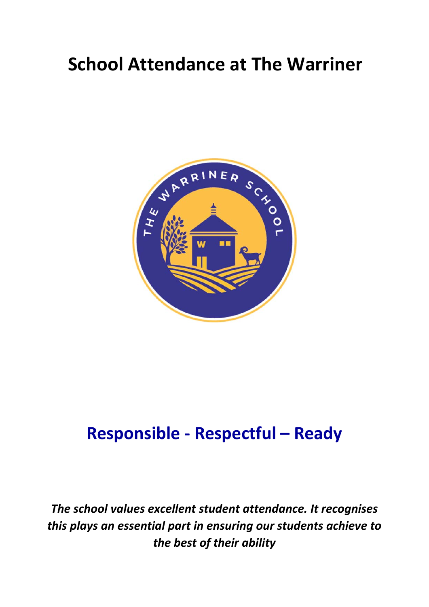# **School Attendance at The Warriner**



## **Responsible ‐ Respectful – Ready**

*The school values excellent student attendance. It recognises this plays an essential part in ensuring our students achieve to the best of their ability*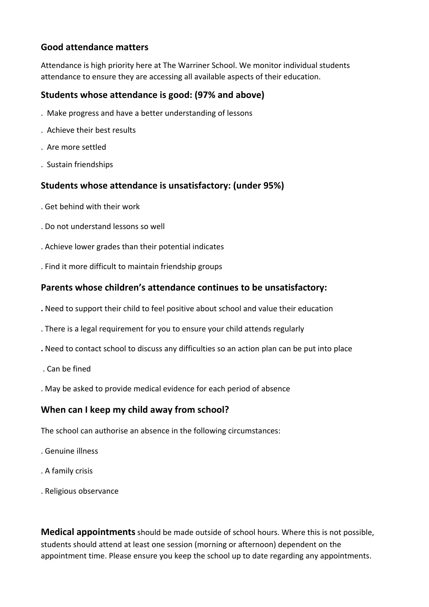#### **Good attendance matters**

Attendance is high priority here at The Warriner School. We monitor individual students attendance to ensure they are accessing all available aspects of their education.

#### **Students whose attendance is good: (97% and above)**

- . Make progress and have a better understanding of lessons
- . Achieve their best results
- . Are more settled
- . Sustain friendships

## **Students whose attendance is unsatisfactory: (under 95%)**

- . Get behind with their work
- . Do not understand lessons so well
- . Achieve lower grades than their potential indicates
- . Find it more difficult to maintain friendship groups

## **Parents whose children's attendance continues to be unsatisfactory:**

- **.** Need to support their child to feel positive about school and value their education
- . There is a legal requirement for you to ensure your child attends regularly
- **.** Need to contact school to discuss any difficulties so an action plan can be put into place
- . Can be fined
- . May be asked to provide medical evidence for each period of absence

## **When can I keep my child away from school?**

The school can authorise an absence in the following circumstances:

- . Genuine illness
- . A family crisis
- . Religious observance

**Medical appointments**should be made outside of school hours. Where this is not possible, students should attend at least one session (morning or afternoon) dependent on the appointment time. Please ensure you keep the school up to date regarding any appointments.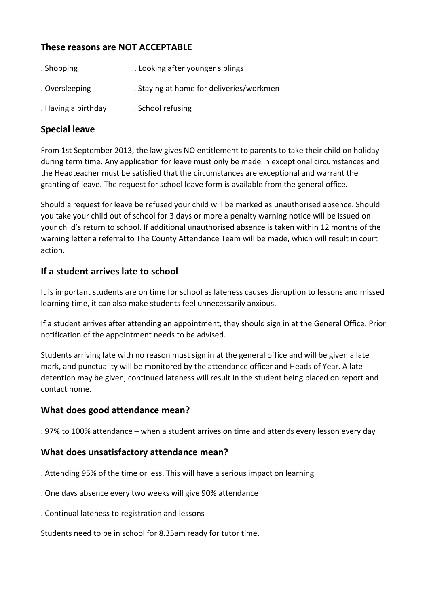## **These reasons are NOT ACCEPTABLE**

| . Shopping          | . Looking after younger siblings         |
|---------------------|------------------------------------------|
| . Oversleeping      | . Staying at home for deliveries/workmen |
| . Having a birthday | . School refusing                        |

#### **Special leave**

From 1st September 2013, the law gives NO entitlement to parents to take their child on holiday during term time. Any application for leave must only be made in exceptional circumstances and the Headteacher must be satisfied that the circumstances are exceptional and warrant the granting of leave. The request for school leave form is available from the general office.

Should a request for leave be refused your child will be marked as unauthorised absence. Should you take your child out of school for 3 days or more a penalty warning notice will be issued on your child's return to school. If additional unauthorised absence is taken within 12 months of the warning letter a referral to The County Attendance Team will be made, which will result in court action.

## **If a student arrives late to school**

It is important students are on time for school as lateness causes disruption to lessons and missed learning time, it can also make students feel unnecessarily anxious.

If a student arrives after attending an appointment, they should sign in at the General Office. Prior notification of the appointment needs to be advised.

Students arriving late with no reason must sign in at the general office and will be given a late mark, and punctuality will be monitored by the attendance officer and Heads of Year. A late detention may be given, continued lateness will result in the student being placed on report and contact home.

## **What does good attendance mean?**

. 97% to 100% attendance – when a student arrives on time and attends every lesson every day

## **What does unsatisfactory attendance mean?**

- . Attending 95% of the time or less. This will have a serious impact on learning
- . One days absence every two weeks will give 90% attendance
- . Continual lateness to registration and lessons

Students need to be in school for 8.35am ready for tutor time.